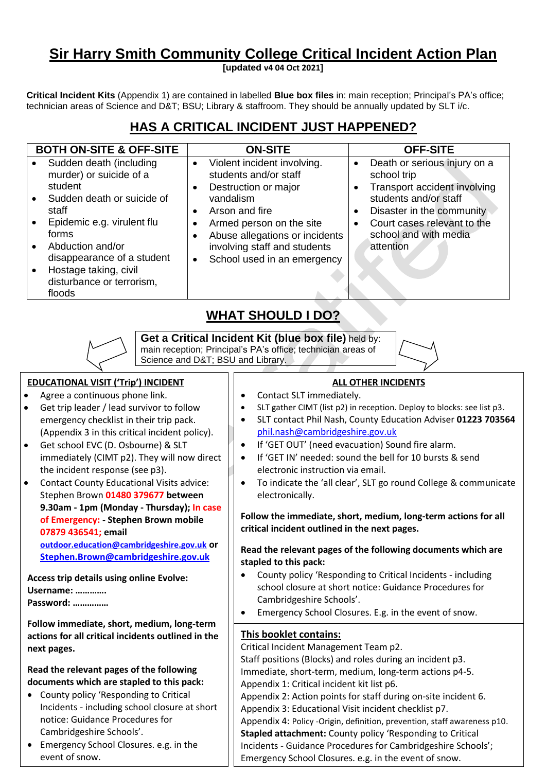# **Sir Harry Smith Community College Critical Incident Action Plan**

**[updated v4 04 Oct 2021]**

**Critical Incident Kits** (Appendix 1) are contained in labelled **Blue box files** in: main reception; Principal's PA's office; technician areas of Science and D&T; BSU; Library & staffroom. They should be annually updated by SLT i/c.

| <b>BOTH ON-SITE &amp; OFF-SITE</b>                                                                                                                                                                                                                                                                   | <b>ON-SITE</b>                                                                                                                                                                                                                                                                  | <b>OFF-SITE</b>                                                                                                                                                                                        |
|------------------------------------------------------------------------------------------------------------------------------------------------------------------------------------------------------------------------------------------------------------------------------------------------------|---------------------------------------------------------------------------------------------------------------------------------------------------------------------------------------------------------------------------------------------------------------------------------|--------------------------------------------------------------------------------------------------------------------------------------------------------------------------------------------------------|
| Sudden death (including<br>$\bullet$<br>murder) or suicide of a<br>student<br>Sudden death or suicide of<br>$\bullet$<br>staff<br>Epidemic e.g. virulent flu<br>$\bullet$<br>forms<br>Abduction and/or<br>disappearance of a student<br>Hostage taking, civil<br>disturbance or terrorism,<br>floods | Violent incident involving.<br>$\bullet$<br>students and/or staff<br>Destruction or major<br>$\bullet$<br>vandalism<br>Arson and fire<br>Armed person on the site<br>Abuse allegations or incidents<br>involving staff and students<br>School used in an emergency<br>$\bullet$ | Death or serious injury on a<br>school trip<br>Transport accident involving<br>students and/or staff<br>Disaster in the community<br>Court cases relevant to the<br>school and with media<br>attention |

# **HAS A CRITICAL INCIDENT JUST HAPPENED?**

## **WHAT SHOULD I DO?**

**Get a Critical Incident Kit (blue box file)** held by: main reception; Principal's PA's office; technician areas of Science and D&T; BSU and Library.

### **EDUCATIONAL VISIT ('Trip') INCIDENT**

- Agree a continuous phone link.
- Get trip leader / lead survivor to follow emergency checklist in their trip pack. (Appendix 3 in this critical incident policy).
- Get school EVC (D. Osbourne) & SLT immediately (CIMT p2). They will now direct the incident response (see p3).
- Contact County Educational Visits advice: Stephen Brown **01480 379677 between 9.30am - 1pm (Monday - Thursday); In case of Emergency: - Stephen Brown mobile 07879 436541; email [outdoor.education@cambridgeshire.gov.uk](mailto:outdoor.education@cambridgeshire.gov.uk) or [Stephen.Brown@cambridgeshire.gov.uk](mailto:Stephen.Brown@cambridgeshire.gov.uk)**

**Access trip details using online Evolve: Username: …………. Password: ……………**

**Follow immediate, short, medium, long-term actions for all critical incidents outlined in the next pages.**

**Read the relevant pages of the following documents which are stapled to this pack:**

- County policy 'Responding to Critical Incidents - including school closure at short notice: Guidance Procedures for Cambridgeshire Schools'.
- Emergency School Closures. e.g. in the event of snow.

## **ALL OTHER INCIDENTS**

- Contact SLT immediately.
- SLT gather CIMT (list p2) in reception. Deploy to blocks: see list p3.
- SLT contact Phil Nash, County Education Adviser **01223 703564** [phil.nash@cambridgeshire.gov.uk](mailto:phil.nash@cambridgeshire.gov.uk)
- If 'GET OUT' (need evacuation) Sound fire alarm.
- If 'GET IN' needed: sound the bell for 10 bursts & send electronic instruction via email.
- To indicate the 'all clear', SLT go round College & communicate electronically.

**Follow the immediate, short, medium, long-term actions for all critical incident outlined in the next pages.**

**Read the relevant pages of the following documents which are stapled to this pack:**

- County policy 'Responding to Critical Incidents including school closure at short notice: Guidance Procedures for Cambridgeshire Schools'.
- Emergency School Closures. E.g. in the event of snow.

#### **This booklet contains:**

Critical Incident Management Team p2.

Staff positions (Blocks) and roles during an incident p3. Immediate, short-term, medium, long-term actions p4-5.

Appendix 1: Critical incident kit list p6.

Appendix 2: Action points for staff during on-site incident 6.

Appendix 3: Educational Visit incident checklist p7.

Appendix 4: Policy -Origin, definition, prevention, staff awareness p10. **Stapled attachment:** County policy 'Responding to Critical Incidents - Guidance Procedures for Cambridgeshire Schools'; Emergency School Closures. e.g. in the event of snow.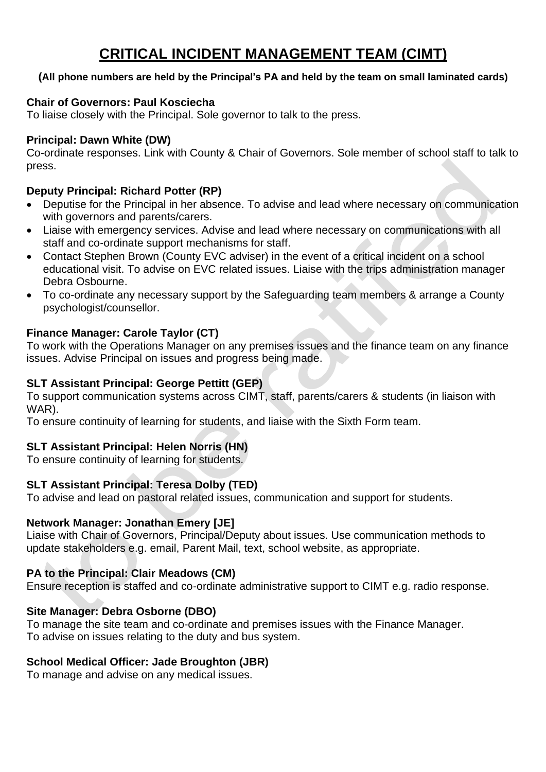# **CRITICAL INCIDENT MANAGEMENT TEAM (CIMT)**

### **(All phone numbers are held by the Principal's PA and held by the team on small laminated cards)**

### **Chair of Governors: Paul Kosciecha**

To liaise closely with the Principal. Sole governor to talk to the press.

### **Principal: Dawn White (DW)**

Co-ordinate responses. Link with County & Chair of Governors. Sole member of school staff to talk to press.

### **Deputy Principal: Richard Potter (RP)**

- Deputise for the Principal in her absence. To advise and lead where necessary on communication with governors and parents/carers.
- Liaise with emergency services. Advise and lead where necessary on communications with all staff and co-ordinate support mechanisms for staff.
- Contact Stephen Brown (County EVC adviser) in the event of a critical incident on a school educational visit. To advise on EVC related issues. Liaise with the trips administration manager Debra Osbourne.
- To co-ordinate any necessary support by the Safeguarding team members & arrange a County psychologist/counsellor.

## **Finance Manager: Carole Taylor (CT)**

To work with the Operations Manager on any premises issues and the finance team on any finance issues. Advise Principal on issues and progress being made.

### **SLT Assistant Principal: George Pettitt (GEP)**

To support communication systems across CIMT, staff, parents/carers & students (in liaison with WAR).

To ensure continuity of learning for students, and liaise with the Sixth Form team.

## **SLT Assistant Principal: Helen Norris (HN)**

To ensure continuity of learning for students.

## **SLT Assistant Principal: Teresa Dolby (TED)**

To advise and lead on pastoral related issues, communication and support for students.

#### **Network Manager: Jonathan Emery [JE]**

Liaise with Chair of Governors, Principal/Deputy about issues. Use communication methods to update stakeholders e.g. email, Parent Mail, text, school website, as appropriate.

## **PA to the Principal: Clair Meadows (CM)**

Ensure reception is staffed and co-ordinate administrative support to CIMT e.g. radio response.

## **Site Manager: Debra Osborne (DBO)**

To manage the site team and co-ordinate and premises issues with the Finance Manager. To advise on issues relating to the duty and bus system.

## **School Medical Officer: Jade Broughton (JBR)**

To manage and advise on any medical issues.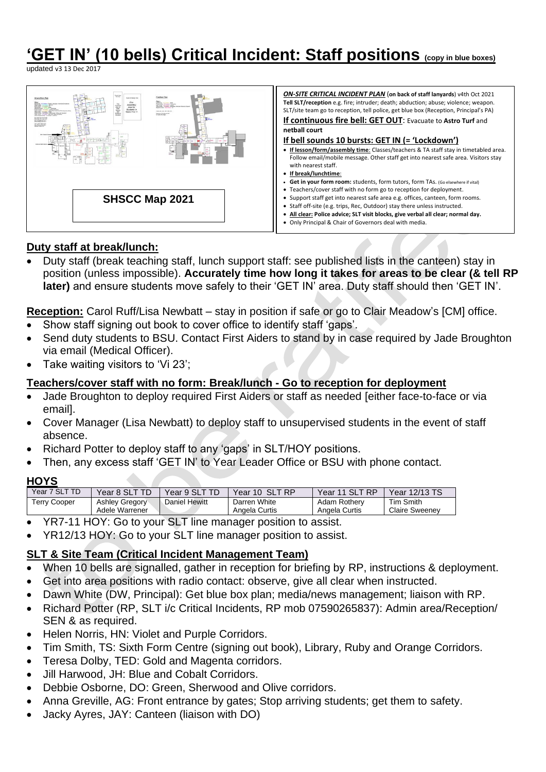# **'GET IN' (10 bells) Critical Incident: Staff positions (copy in blue boxes)**

updated v3 13 Dec 2017



## **Duty staff at break/lunch:**

• Duty staff (break teaching staff, lunch support staff: see published lists in the canteen) stay in position (unless impossible). **Accurately time how long it takes for areas to be clear (& tell RP later)** and ensure students move safely to their 'GET IN' area. Duty staff should then 'GET IN'.

**Reception:** Carol Ruff/Lisa Newbatt – stay in position if safe or go to Clair Meadow's [CM] office.

- Show staff signing out book to cover office to identify staff 'gaps'.
- Send duty students to BSU. Contact First Aiders to stand by in case required by Jade Broughton via email (Medical Officer).
- Take waiting visitors to 'Vi 23';

## **Teachers/cover staff with no form: Break/lunch - Go to reception for deployment**

- Jade Broughton to deploy required First Aiders or staff as needed [either face-to-face or via email].
- Cover Manager (Lisa Newbatt) to deploy staff to unsupervised students in the event of staff absence.
- Richard Potter to deploy staff to any 'gaps' in SLT/HOY positions.
- Then, any excess staff 'GET IN' to Year Leader Office or BSU with phone contact.

#### **HOYS**

| ' SLT TD<br>Year 7 | Year 8 SLT.                             | Year 9 SL,    | <b>SLT RP</b><br>Year 10      | .T RP<br>Year<br>11 SL        | Year 12/13 TS                      |
|--------------------|-----------------------------------------|---------------|-------------------------------|-------------------------------|------------------------------------|
| Геrry Cooper       | <b>Ashley Gregory</b><br>Adele Warrener | Daniel Hewitt | Darren White<br>Angela Curtis | Adam Rothery<br>Angela Curtis | Tim Smith<br><b>Claire Sweenev</b> |

- YR7-11 HOY: Go to your SLT line manager position to assist.
- YR12/13 HOY: Go to your SLT line manager position to assist.

## **SLT & Site Team (Critical Incident Management Team)**

- When 10 bells are signalled, gather in reception for briefing by RP, instructions & deployment.
- Get into area positions with radio contact: observe, give all clear when instructed.
- Dawn White (DW, Principal): Get blue box plan; media/news management; liaison with RP.
- Richard Potter (RP, SLT i/c Critical Incidents, RP mob 07590265837): Admin area/Reception/ SEN & as required.
- Helen Norris, HN: Violet and Purple Corridors.
- Tim Smith, TS: Sixth Form Centre (signing out book), Library, Ruby and Orange Corridors.
- Teresa Dolby, TED: Gold and Magenta corridors.
- Jill Harwood, JH: Blue and Cobalt Corridors.
- Debbie Osborne, DO: Green, Sherwood and Olive corridors.
- Anna Greville, AG: Front entrance by gates; Stop arriving students; get them to safety.
- Jacky Ayres, JAY: Canteen (liaison with DO)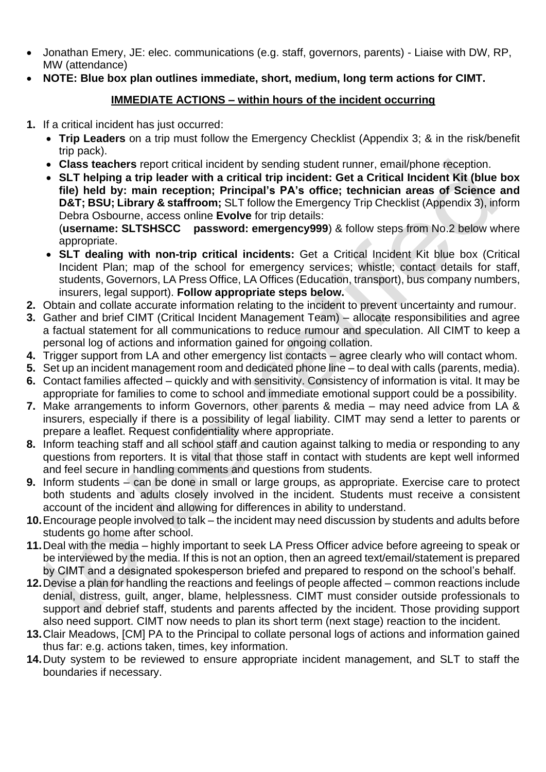- Jonathan Emery, JE: elec. communications (e.g. staff, governors, parents) Liaise with DW, RP, MW (attendance)
- **NOTE: Blue box plan outlines immediate, short, medium, long term actions for CIMT.**

## **IMMEDIATE ACTIONS – within hours of the incident occurring**

- **1.** If a critical incident has just occurred:
	- **Trip Leaders** on a trip must follow the Emergency Checklist (Appendix 3; & in the risk/benefit trip pack).
	- **Class teachers** report critical incident by sending student runner, email/phone reception.
	- **SLT helping a trip leader with a critical trip incident: Get a Critical Incident Kit (blue box file) held by: main reception; Principal's PA's office; technician areas of Science and D&T; BSU; Library & staffroom;** SLT follow the Emergency Trip Checklist (Appendix 3), inform Debra Osbourne, access online **Evolve** for trip details: (**username: SLTSHSCC password: emergency999**) & follow steps from No.2 below where appropriate.
	- **SLT dealing with non-trip critical incidents:** Get a Critical Incident Kit blue box (Critical Incident Plan; map of the school for emergency services; whistle; contact details for staff, students, Governors, LA Press Office, LA Offices (Education, transport), bus company numbers, insurers, legal support). **Follow appropriate steps below.**
- **2.** Obtain and collate accurate information relating to the incident to prevent uncertainty and rumour.
- **3.** Gather and brief CIMT (Critical Incident Management Team) allocate responsibilities and agree a factual statement for all communications to reduce rumour and speculation. All CIMT to keep a personal log of actions and information gained for ongoing collation.
- **4.** Trigger support from LA and other emergency list contacts agree clearly who will contact whom.
- **5.** Set up an incident management room and dedicated phone line to deal with calls (parents, media).
- **6.** Contact families affected quickly and with sensitivity. Consistency of information is vital. It may be appropriate for families to come to school and immediate emotional support could be a possibility.
- **7.** Make arrangements to inform Governors, other parents & media may need advice from LA & insurers, especially if there is a possibility of legal liability. CIMT may send a letter to parents or prepare a leaflet. Request confidentiality where appropriate.
- **8.** Inform teaching staff and all school staff and caution against talking to media or responding to any questions from reporters. It is vital that those staff in contact with students are kept well informed and feel secure in handling comments and questions from students.
- **9.** Inform students can be done in small or large groups, as appropriate. Exercise care to protect both students and adults closely involved in the incident. Students must receive a consistent account of the incident and allowing for differences in ability to understand.
- **10.**Encourage people involved to talk the incident may need discussion by students and adults before students go home after school.
- **11.**Deal with the media highly important to seek LA Press Officer advice before agreeing to speak or be interviewed by the media. If this is not an option, then an agreed text/email/statement is prepared by CIMT and a designated spokesperson briefed and prepared to respond on the school's behalf.
- **12.**Devise a plan for handling the reactions and feelings of people affected common reactions include denial, distress, guilt, anger, blame, helplessness. CIMT must consider outside professionals to support and debrief staff, students and parents affected by the incident. Those providing support also need support. CIMT now needs to plan its short term (next stage) reaction to the incident.
- **13.**Clair Meadows, [CM] PA to the Principal to collate personal logs of actions and information gained thus far: e.g. actions taken, times, key information.
- **14.**Duty system to be reviewed to ensure appropriate incident management, and SLT to staff the boundaries if necessary.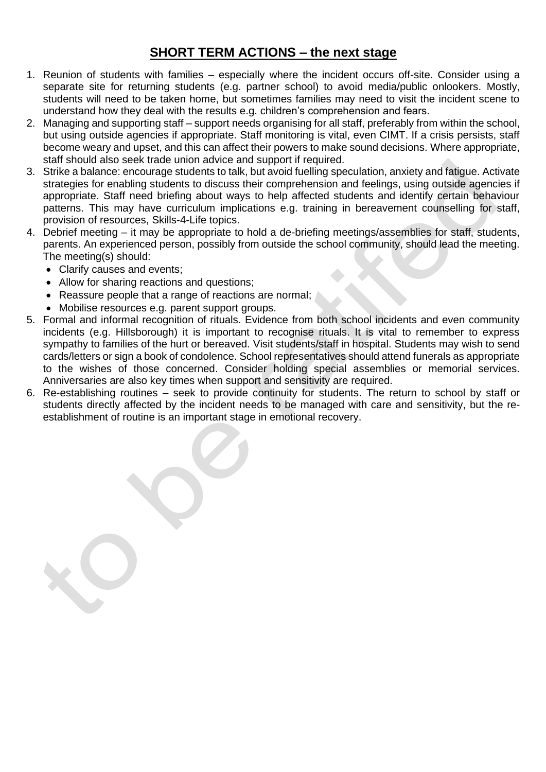## **SHORT TERM ACTIONS – the next stage**

- 1. Reunion of students with families especially where the incident occurs off-site. Consider using a separate site for returning students (e.g. partner school) to avoid media/public onlookers. Mostly, students will need to be taken home, but sometimes families may need to visit the incident scene to understand how they deal with the results e.g. children's comprehension and fears.
- 2. Managing and supporting staff support needs organising for all staff, preferably from within the school, but using outside agencies if appropriate. Staff monitoring is vital, even CIMT. If a crisis persists, staff become weary and upset, and this can affect their powers to make sound decisions. Where appropriate, staff should also seek trade union advice and support if required.
- 3. Strike a balance: encourage students to talk, but avoid fuelling speculation, anxiety and fatigue. Activate strategies for enabling students to discuss their comprehension and feelings, using outside agencies if appropriate. Staff need briefing about ways to help affected students and identify certain behaviour patterns. This may have curriculum implications e.g. training in bereavement counselling for staff, provision of resources, Skills-4-Life topics.
- 4. Debrief meeting it may be appropriate to hold a de-briefing meetings/assemblies for staff, students, parents. An experienced person, possibly from outside the school community, should lead the meeting. The meeting(s) should:
	- Clarify causes and events;
	- Allow for sharing reactions and questions;
	- Reassure people that a range of reactions are normal;
	- Mobilise resources e.g. parent support groups.
- 5. Formal and informal recognition of rituals. Evidence from both school incidents and even community incidents (e.g. Hillsborough) it is important to recognise rituals. It is vital to remember to express sympathy to families of the hurt or bereaved. Visit students/staff in hospital. Students may wish to send cards/letters or sign a book of condolence. School representatives should attend funerals as appropriate to the wishes of those concerned. Consider holding special assemblies or memorial services. Anniversaries are also key times when support and sensitivity are required.
- 6. Re-establishing routines seek to provide continuity for students. The return to school by staff or students directly affected by the incident needs to be managed with care and sensitivity, but the reestablishment of routine is an important stage in emotional recovery.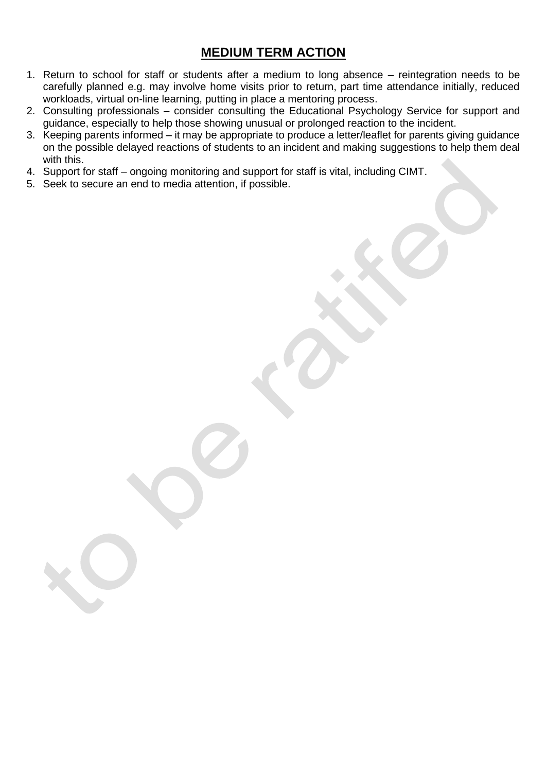## **MEDIUM TERM ACTION**

- 1. Return to school for staff or students after a medium to long absence reintegration needs to be carefully planned e.g. may involve home visits prior to return, part time attendance initially, reduced workloads, virtual on-line learning, putting in place a mentoring process.
- 2. Consulting professionals consider consulting the Educational Psychology Service for support and guidance, especially to help those showing unusual or prolonged reaction to the incident.
- 3. Keeping parents informed it may be appropriate to produce a letter/leaflet for parents giving guidance on the possible delayed reactions of students to an incident and making suggestions to help them deal with this.
- 4. Support for staff ongoing monitoring and support for staff is vital, including CIMT.
- 5. Seek to secure an end to media attention, if possible.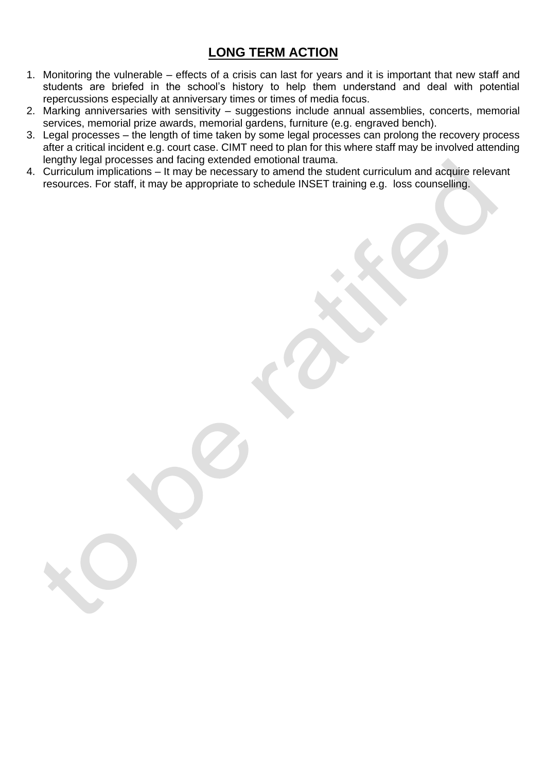## **LONG TERM ACTION**

- 1. Monitoring the vulnerable effects of a crisis can last for years and it is important that new staff and students are briefed in the school's history to help them understand and deal with potential repercussions especially at anniversary times or times of media focus.
- 2. Marking anniversaries with sensitivity suggestions include annual assemblies, concerts, memorial services, memorial prize awards, memorial gardens, furniture (e.g. engraved bench).
- 3. Legal processes the length of time taken by some legal processes can prolong the recovery process after a critical incident e.g. court case. CIMT need to plan for this where staff may be involved attending lengthy legal processes and facing extended emotional trauma.
- 4. Curriculum implications It may be necessary to amend the student curriculum and acquire relevant resources. For staff, it may be appropriate to schedule INSET training e.g. loss counselling.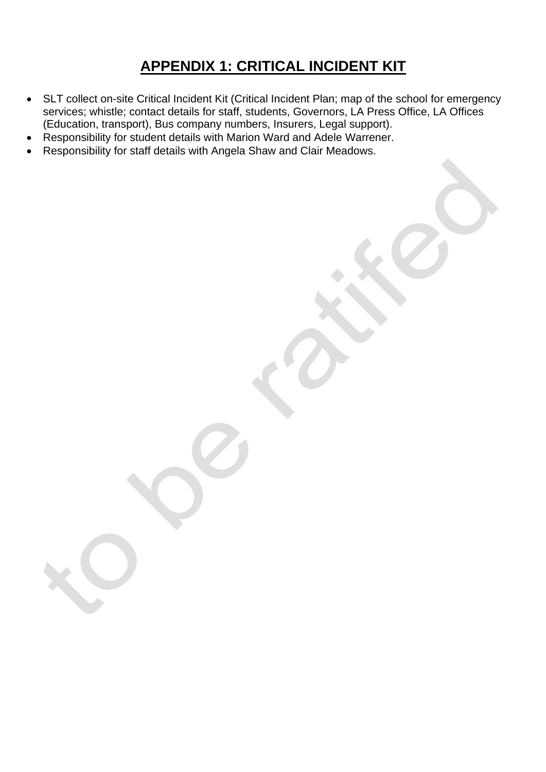# **APPENDIX 1: CRITICAL INCIDENT KIT**

- SLT collect on-site Critical Incident Kit (Critical Incident Plan; map of the school for emergency services; whistle; contact details for staff, students, Governors, LA Press Office, LA Offices (Education, transport), Bus company numbers, Insurers, Legal support).
- Responsibility for student details with Marion Ward and Adele Warrener.
- Responsibility for staff details with Angela Shaw and Clair Meadows.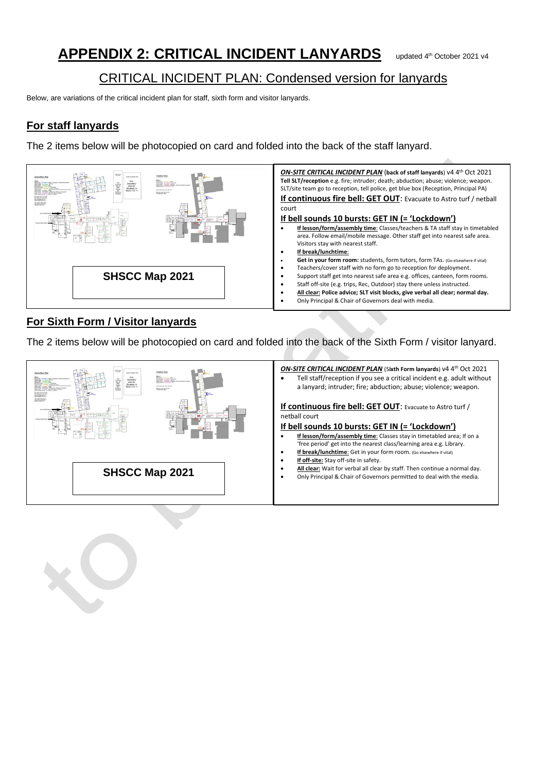# **APPENDIX 2: CRITICAL INCIDENT LANYARDS**

#### CRITICAL INCIDENT PLAN: Condensed version for lanyards Ï

Below, are variations of the critical incident plan for staff, sixth form and visitor lanyards.

## **For staff lanyards**

The 2 items below will be photocopied on card and folded into the back of the staff lanyard.



## **For Sixth Form / Visitor lanyards**

The 2 items below will be photocopied on card and folded into the back of the Sixth Form / visitor lanyard.

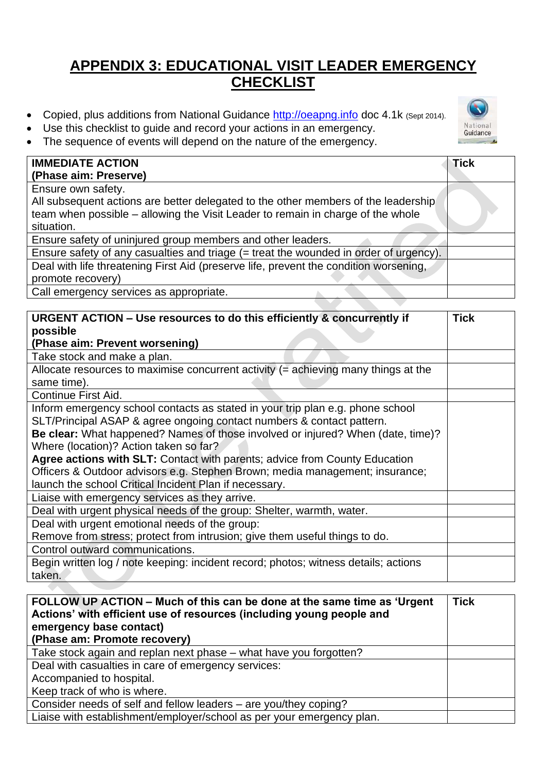# **APPENDIX 3: EDUCATIONAL VISIT LEADER EMERGENCY CHECKLIST**

- Copied, plus additions from National Guidance [http://oeapng.info](http://oeapng.info/) doc 4.1k (Sept 2014).
- Use this checklist to guide and record your actions in an emergency.



The sequence of events will depend on the nature of the emergency.

| <b>IMMEDIATE ACTION</b>                                                               | <b>Tick</b> |
|---------------------------------------------------------------------------------------|-------------|
| (Phase aim: Preserve)                                                                 |             |
| Ensure own safety.                                                                    |             |
| All subsequent actions are better delegated to the other members of the leadership    |             |
| team when possible – allowing the Visit Leader to remain in charge of the whole       |             |
| situation.                                                                            |             |
| Ensure safety of uninjured group members and other leaders.                           |             |
| Ensure safety of any casualties and triage (= treat the wounded in order of urgency). |             |
| Deal with life threatening First Aid (preserve life, prevent the condition worsening, |             |
| promote recovery)                                                                     |             |
| Call emergency services as appropriate.                                               |             |

| URGENT ACTION – Use resources to do this efficiently & concurrently if               | <b>Tick</b> |
|--------------------------------------------------------------------------------------|-------------|
| possible                                                                             |             |
| (Phase aim: Prevent worsening)                                                       |             |
| Take stock and make a plan.                                                          |             |
| Allocate resources to maximise concurrent activity $(=$ achieving many things at the |             |
| same time).                                                                          |             |
| Continue First Aid.                                                                  |             |
| Inform emergency school contacts as stated in your trip plan e.g. phone school       |             |
| SLT/Principal ASAP & agree ongoing contact numbers & contact pattern.                |             |
| Be clear: What happened? Names of those involved or injured? When (date, time)?      |             |
| Where (location)? Action taken so far?                                               |             |
| Agree actions with SLT: Contact with parents; advice from County Education           |             |
| Officers & Outdoor advisors e.g. Stephen Brown; media management; insurance;         |             |
| launch the school Critical Incident Plan if necessary.                               |             |
| Liaise with emergency services as they arrive.                                       |             |
| Deal with urgent physical needs of the group: Shelter, warmth, water.                |             |
| Deal with urgent emotional needs of the group:                                       |             |
| Remove from stress; protect from intrusion; give them useful things to do.           |             |
| Control outward communications.                                                      |             |
| Begin written log / note keeping: incident record; photos; witness details; actions  |             |
| taken.                                                                               |             |

| FOLLOW UP ACTION – Much of this can be done at the same time as 'Urgent<br>Actions' with efficient use of resources (including young people and<br>emergency base contact)<br>(Phase am: Promote recovery) | <b>Tick</b> |
|------------------------------------------------------------------------------------------------------------------------------------------------------------------------------------------------------------|-------------|
| Take stock again and replan next phase - what have you forgotten?                                                                                                                                          |             |
| Deal with casualties in care of emergency services:                                                                                                                                                        |             |
| Accompanied to hospital.                                                                                                                                                                                   |             |
| Keep track of who is where.                                                                                                                                                                                |             |
| Consider needs of self and fellow leaders – are you/they coping?                                                                                                                                           |             |
| Liaise with establishment/employer/school as per your emergency plan.                                                                                                                                      |             |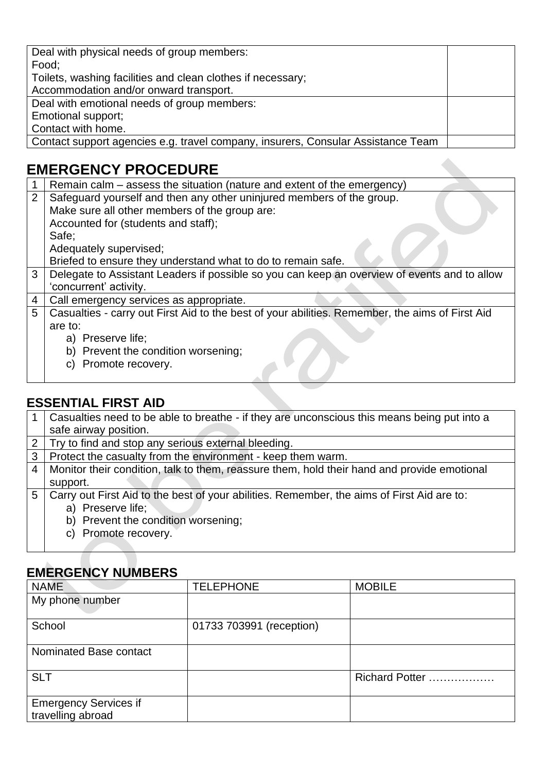| Deal with physical needs of group members:                                       |  |
|----------------------------------------------------------------------------------|--|
| Food;                                                                            |  |
| Toilets, washing facilities and clean clothes if necessary;                      |  |
| Accommodation and/or onward transport.                                           |  |
| Deal with emotional needs of group members:                                      |  |
| Emotional support;                                                               |  |
| Contact with home.                                                               |  |
| Contact support agencies e.g. travel company, insurers, Consular Assistance Team |  |

# **EMERGENCY PROCEDURE**

|                | Remain calm – assess the situation (nature and extent of the emergency)                         |
|----------------|-------------------------------------------------------------------------------------------------|
| $\overline{2}$ | Safeguard yourself and then any other uninjured members of the group.                           |
|                | Make sure all other members of the group are:                                                   |
|                | Accounted for (students and staff);                                                             |
|                | Safe;                                                                                           |
|                | Adequately supervised;                                                                          |
|                | Briefed to ensure they understand what to do to remain safe.                                    |
| $\mathbf{3}$   | Delegate to Assistant Leaders if possible so you can keep an overview of events and to allow    |
|                | 'concurrent' activity.                                                                          |
| $\overline{4}$ | Call emergency services as appropriate.                                                         |
| 5              | Casualties - carry out First Aid to the best of your abilities. Remember, the aims of First Aid |
|                | are to:                                                                                         |
|                | a) Preserve life;                                                                               |
|                | b) Prevent the condition worsening;                                                             |
|                | Promote recovery.<br>C)                                                                         |

## **ESSENTIAL FIRST AID**

| 1.             | Casualties need to be able to breathe - if they are unconscious this means being put into a |
|----------------|---------------------------------------------------------------------------------------------|
|                | safe airway position.                                                                       |
|                | 2 Try to find and stop any serious external bleeding.                                       |
| 3 <sup>1</sup> | Protect the casualty from the environment - keep them warm.                                 |
| 4              | Monitor their condition, talk to them, reassure them, hold their hand and provide emotional |
|                | support.                                                                                    |
| 5              | Carry out First Aid to the best of your abilities. Remember, the aims of First Aid are to:  |
|                | a) Preserve life;                                                                           |
|                | b) Prevent the condition worsening;                                                         |
|                | Promote recovery.                                                                           |

## **EMERGENCY NUMBERS**

| <b>NAME</b>                                       | <b>TELEPHONE</b>         | <b>MOBILE</b>  |
|---------------------------------------------------|--------------------------|----------------|
| My phone number                                   |                          |                |
| School                                            | 01733 703991 (reception) |                |
| Nominated Base contact                            |                          |                |
| <b>SLT</b>                                        |                          | Richard Potter |
| <b>Emergency Services if</b><br>travelling abroad |                          |                |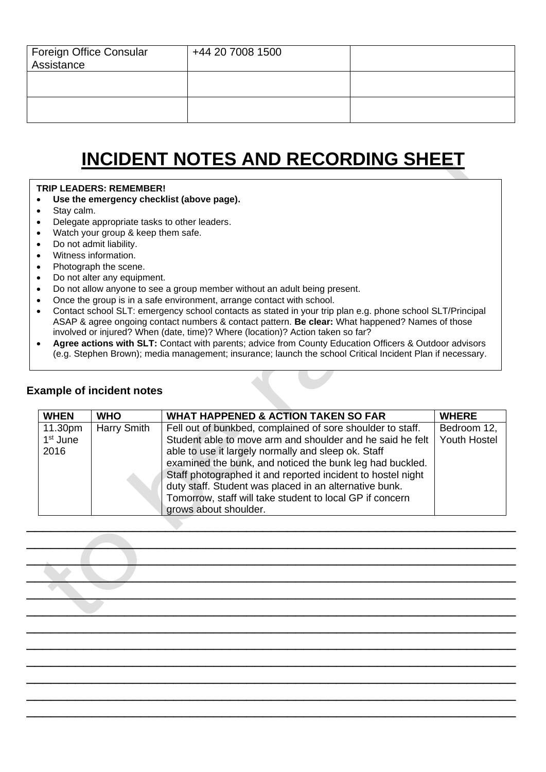| Foreign Office Consular<br>Assistance | +44 20 7008 1500 |  |
|---------------------------------------|------------------|--|
|                                       |                  |  |
|                                       |                  |  |

# **INCIDENT NOTES AND RECORDING SHEET**

#### **TRIP LEADERS: REMEMBER!**

- **Use the emergency checklist (above page).**
- Stay calm.
- Delegate appropriate tasks to other leaders.
- Watch your group & keep them safe.
- Do not admit liability.
- Witness information.
- Photograph the scene.
- Do not alter any equipment.
- Do not allow anyone to see a group member without an adult being present.
- Once the group is in a safe environment, arrange contact with school.
- Contact school SLT: emergency school contacts as stated in your trip plan e.g. phone school SLT/Principal ASAP & agree ongoing contact numbers & contact pattern. **Be clear:** What happened? Names of those involved or injured? When (date, time)? Where (location)? Action taken so far?
- **Agree actions with SLT:** Contact with parents; advice from County Education Officers & Outdoor advisors (e.g. Stephen Brown); media management; insurance; launch the school Critical Incident Plan if necessary.

#### **Example of incident notes**

| <b>WHEN</b>          | <b>WHO</b>  | <b>WHAT HAPPENED &amp; ACTION TAKEN SO FAR</b>              | <b>WHERE</b>        |
|----------------------|-------------|-------------------------------------------------------------|---------------------|
| 11.30pm              | Harry Smith | Fell out of bunkbed, complained of sore shoulder to staff.  | Bedroom 12,         |
| 1 <sup>st</sup> June |             | Student able to move arm and shoulder and he said he felt   | <b>Youth Hostel</b> |
| 2016                 |             | able to use it largely normally and sleep ok. Staff         |                     |
|                      |             | examined the bunk, and noticed the bunk leg had buckled.    |                     |
|                      |             | Staff photographed it and reported incident to hostel night |                     |
|                      |             | duty staff. Student was placed in an alternative bunk.      |                     |
|                      |             | Tomorrow, staff will take student to local GP if concern    |                     |
|                      |             | grows about shoulder.                                       |                     |
|                      |             |                                                             |                     |

 $\overline{\phantom{a}}$  , and the contribution of the contribution of the contribution of the contribution of the contribution of the contribution of the contribution of the contribution of the contribution of the contribution of the  $\overline{\phantom{a}}$  , and the contribution of the contribution of the contribution of the contribution of the contribution of the contribution of the contribution of the contribution of the contribution of the contribution of the  $\mathcal{L} \times \mathcal{L} \times \mathcal{L}$  , where  $\mathcal{L}$  is the set of the set of the set of the set of the set of the set of the set of the set of the set of the set of the set of the set of the set of the set of the set of the set of  $\mathcal{L}=\mathcal{L}$  , which is a set of the set of the set of the set of the set of the set of the set of the set of the set of the set of the set of the set of the set of the set of the set of the set of the set of the set of \_\_\_\_\_\_\_\_\_\_\_\_\_\_\_\_\_\_\_\_\_\_\_\_\_\_\_\_\_\_\_\_\_\_\_\_\_\_\_\_\_\_\_\_\_\_\_\_\_\_\_\_\_\_\_\_\_\_\_\_ \_\_\_\_\_\_\_\_\_\_\_\_\_\_\_\_\_\_\_\_\_\_\_\_\_\_\_\_\_\_\_\_\_\_\_\_\_\_\_\_\_\_\_\_\_\_\_\_\_\_\_\_\_\_\_\_\_\_\_\_ \_\_\_\_\_\_\_\_\_\_\_\_\_\_\_\_\_\_\_\_\_\_\_\_\_\_\_\_\_\_\_\_\_\_\_\_\_\_\_\_\_\_\_\_\_\_\_\_\_\_\_\_\_\_\_\_\_\_\_\_ \_\_\_\_\_\_\_\_\_\_\_\_\_\_\_\_\_\_\_\_\_\_\_\_\_\_\_\_\_\_\_\_\_\_\_\_\_\_\_\_\_\_\_\_\_\_\_\_\_\_\_\_\_\_\_\_\_\_\_\_ \_\_\_\_\_\_\_\_\_\_\_\_\_\_\_\_\_\_\_\_\_\_\_\_\_\_\_\_\_\_\_\_\_\_\_\_\_\_\_\_\_\_\_\_\_\_\_\_\_\_\_\_\_\_\_\_\_\_\_\_ \_\_\_\_\_\_\_\_\_\_\_\_\_\_\_\_\_\_\_\_\_\_\_\_\_\_\_\_\_\_\_\_\_\_\_\_\_\_\_\_\_\_\_\_\_\_\_\_\_\_\_\_\_\_\_\_\_\_\_\_ \_\_\_\_\_\_\_\_\_\_\_\_\_\_\_\_\_\_\_\_\_\_\_\_\_\_\_\_\_\_\_\_\_\_\_\_\_\_\_\_\_\_\_\_\_\_\_\_\_\_\_\_\_\_\_\_\_\_\_\_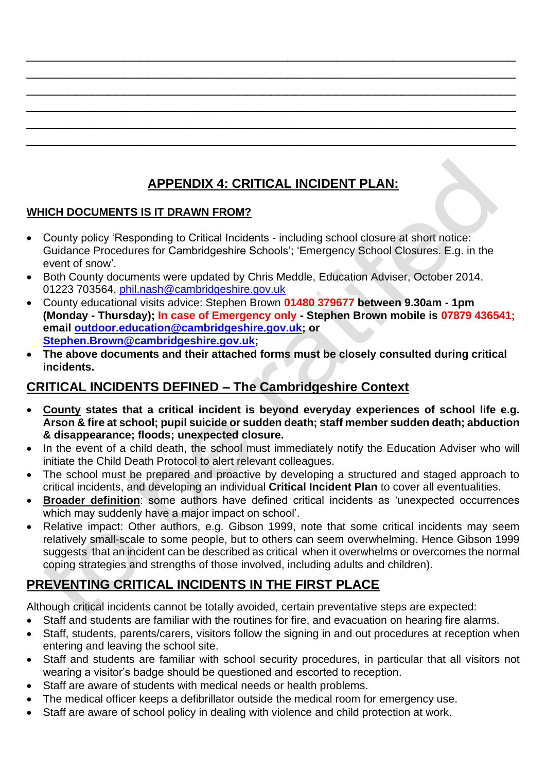# **APPENDIX 4: CRITICAL INCIDENT PLAN:**

\_\_\_\_\_\_\_\_\_\_\_\_\_\_\_\_\_\_\_\_\_\_\_\_\_\_\_\_\_\_\_\_\_\_\_\_\_\_\_\_\_\_\_\_\_\_\_\_\_\_\_\_\_\_\_\_\_\_\_\_ \_\_\_\_\_\_\_\_\_\_\_\_\_\_\_\_\_\_\_\_\_\_\_\_\_\_\_\_\_\_\_\_\_\_\_\_\_\_\_\_\_\_\_\_\_\_\_\_\_\_\_\_\_\_\_\_\_\_\_\_ \_\_\_\_\_\_\_\_\_\_\_\_\_\_\_\_\_\_\_\_\_\_\_\_\_\_\_\_\_\_\_\_\_\_\_\_\_\_\_\_\_\_\_\_\_\_\_\_\_\_\_\_\_\_\_\_\_\_\_\_ \_\_\_\_\_\_\_\_\_\_\_\_\_\_\_\_\_\_\_\_\_\_\_\_\_\_\_\_\_\_\_\_\_\_\_\_\_\_\_\_\_\_\_\_\_\_\_\_\_\_\_\_\_\_\_\_\_\_\_\_ \_\_\_\_\_\_\_\_\_\_\_\_\_\_\_\_\_\_\_\_\_\_\_\_\_\_\_\_\_\_\_\_\_\_\_\_\_\_\_\_\_\_\_\_\_\_\_\_\_\_\_\_\_\_\_\_\_\_\_\_ \_\_\_\_\_\_\_\_\_\_\_\_\_\_\_\_\_\_\_\_\_\_\_\_\_\_\_\_\_\_\_\_\_\_\_\_\_\_\_\_\_\_\_\_\_\_\_\_\_\_\_\_\_\_\_\_\_\_\_\_

## **WHICH DOCUMENTS IS IT DRAWN FROM?**

- County policy 'Responding to Critical Incidents including school closure at short notice: Guidance Procedures for Cambridgeshire Schools'; 'Emergency School Closures. E.g. in the event of snow'.
- Both County documents were updated by Chris Meddle, Education Adviser, October 2014. 01223 703564, [phil.nash@cambridgeshire.gov.uk](mailto:phil.nash@cambridgeshire.gov.uk)
- County educational visits advice: Stephen Brown **01480 379677 between 9.30am - 1pm (Monday - Thursday); In case of Emergency only - Stephen Brown mobile is 07879 436541; email [outdoor.education@cambridgeshire.gov.uk;](mailto:outdoor.education@cambridgeshire.gov.uk) or [Stephen.Brown@cambridgeshire.gov.uk;](mailto:Stephen.Brown@cambridgeshire.gov.uk)**
- **The above documents and their attached forms must be closely consulted during critical incidents.**

## **CRITICAL INCIDENTS DEFINED – The Cambridgeshire Context**

- **County states that a critical incident is beyond everyday experiences of school life e.g. Arson & fire at school; pupil suicide or sudden death; staff member sudden death; abduction & disappearance; floods; unexpected closure.**
- In the event of a child death, the school must immediately notify the Education Adviser who will initiate the Child Death Protocol to alert relevant colleagues.
- The school must be prepared and proactive by developing a structured and staged approach to critical incidents, and developing an individual **Critical Incident Plan** to cover all eventualities.
- **Broader definition**: some authors have defined critical incidents as 'unexpected occurrences which may suddenly have a major impact on school'.
- Relative impact: Other authors, e.g. Gibson 1999, note that some critical incidents may seem relatively small-scale to some people, but to others can seem overwhelming. Hence Gibson 1999 suggests that an incident can be described as critical when it overwhelms or overcomes the normal coping strategies and strengths of those involved, including adults and children).

## **PREVENTING CRITICAL INCIDENTS IN THE FIRST PLACE**

Although critical incidents cannot be totally avoided, certain preventative steps are expected:

- Staff and students are familiar with the routines for fire, and evacuation on hearing fire alarms.
- Staff, students, parents/carers, visitors follow the signing in and out procedures at reception when entering and leaving the school site.
- Staff and students are familiar with school security procedures, in particular that all visitors not wearing a visitor's badge should be questioned and escorted to reception.
- Staff are aware of students with medical needs or health problems.
- The medical officer keeps a defibrillator outside the medical room for emergency use.
- Staff are aware of school policy in dealing with violence and child protection at work.